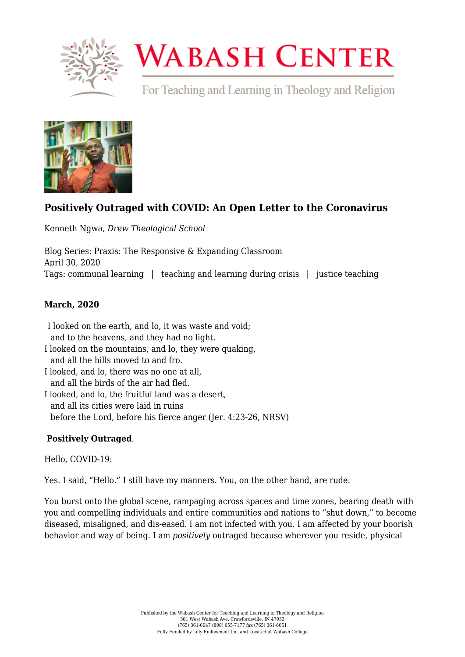

# **WABASH CENTER**

For Teaching and Learning in Theology and Religion



# **[Positively Outraged with COVID: An Open Letter to the Coronavirus](https://www.wabashcenter.wabash.edu/2020/04/positively-outraged-with-covid-an-open-letter-to-the-coronavirus/)**

Kenneth Ngwa, *Drew Theological School*

Blog Series: Praxis: The Responsive & Expanding Classroom April 30, 2020 Tags: communal learning | teaching and learning during crisis | justice teaching

## **March, 2020**

I looked on the earth, and lo, it was waste and void;     and to the heavens, and they had no light. I looked on the mountains, and lo, they were quaking,     and all the hills moved to and fro.

- I looked, and lo, there was no one at all,     and all the birds of the air had fled.
- I looked, and lo, the fruitful land was a desert,     and all its cities were laid in ruins     before the Lord, before his fierce anger (Jer. 4:23-26, NRSV)

### **Positively Outraged**.

Hello, COVID-19:

Yes. I said, "Hello." I still have my manners. You, on the other hand, are rude.  

You burst onto the global scene, rampaging across spaces and time zones, bearing death with you and compelling individuals and entire communities and nations to "shut down," to become diseased, misaligned, and dis-eased. I am not infected with you. I am affected by your boorish behavior and way of being. I am *positively* outraged because wherever you reside, physical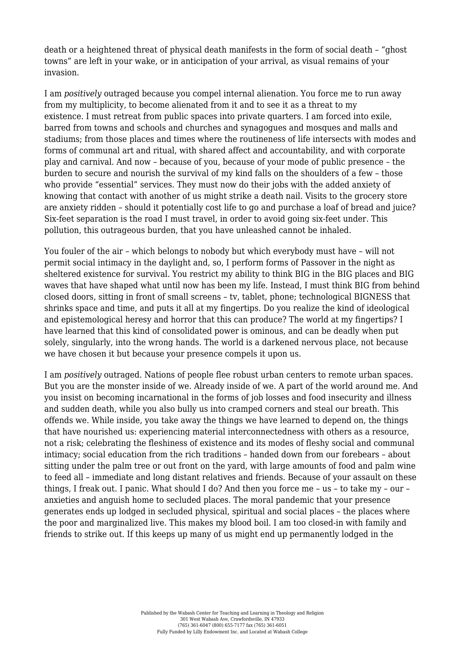death or a heightened threat of physical death manifests in the form of social death - "ghost" towns" are left in your wake, or in anticipation of your arrival, as visual remains of your invasion.

I am *positively* outraged because you compel internal alienation. You force me to run away from my multiplicity, to become alienated from it and to see it as a threat to my existence. I must retreat from public spaces into private quarters. I am forced into exile, barred from towns and schools and churches and synagogues and mosques and malls and stadiums; from those places and times where the routineness of life intersects with modes and forms of communal art and ritual, with shared affect and accountability, and with corporate play and carnival. And now – because of you, because of your mode of public presence – the burden to secure and nourish the survival of my kind falls on the shoulders of a few – those who provide "essential" services. They must now do their jobs with the added anxiety of knowing that contact with another of us might strike a death nail. Visits to the grocery store are anxiety ridden – should it potentially cost life to go and purchase a loaf of bread and juice? Six-feet separation is the road I must travel, in order to avoid going six-feet under. This pollution, this outrageous burden, that you have unleashed cannot be inhaled.  

You fouler of the air – which belongs to nobody but which everybody must have – will not permit social intimacy in the daylight and, so, I perform forms of Passover in the night as sheltered existence for survival. You restrict my ability to think BIG in the BIG places and BIG waves that have shaped what until now has been my life. Instead, I must think BIG from behind closed doors, sitting in front of small screens – tv, tablet, phone; technological BIGNESS that shrinks space and time, and puts it all at my fingertips. Do you realize the kind of ideological and epistemological heresy and horror that this can produce? The world at my fingertips? I have learned that this kind of consolidated power is ominous, and can be deadly when put solely, singularly, into the wrong hands. The world is a darkened nervous place, not because we have chosen it but because your presence compels it upon us.

I am *positively* outraged. Nations of people flee robust urban centers to remote urban spaces. But you are the monster inside of we. Already inside of we. A part of the world around me. And you insist on becoming incarnational in the forms of job losses and food insecurity and illness and sudden death, while you also bully us into cramped corners and steal our breath. This offends we. While inside, you take away the things we have learned to depend on, the things that have nourished us: experiencing material interconnectedness with others as a resource, not a risk; celebrating the fleshiness of existence and its modes of fleshy social and communal intimacy; social education from the rich traditions – handed down from our forebears – about sitting under the palm tree or out front on the yard, with large amounts of food and palm wine to feed all – immediate and long distant relatives and friends. Because of your assault on these things, I freak out. I panic. What should I do? And then you force me – us – to take my – our – anxieties and anguish home to secluded places. The moral pandemic that your presence generates ends up lodged in secluded physical, spiritual and social places – the places where the poor and marginalized live. This makes my blood boil. I am too closed-in with family and friends to strike out. If this keeps up many of us might end up permanently lodged in the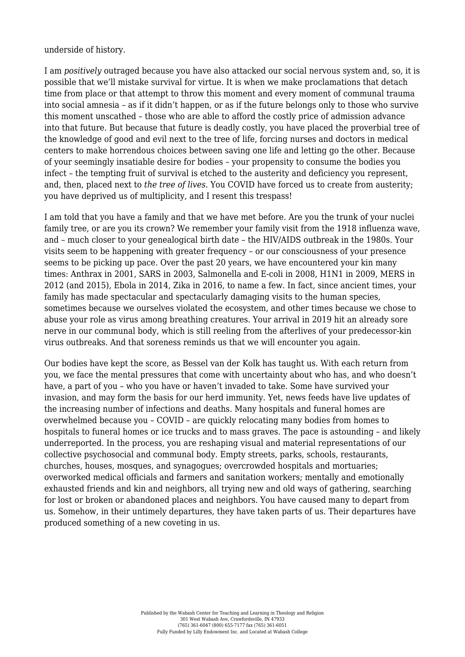underside of history.

I am *positively* outraged because you have also attacked our social nervous system and, so, it is possible that we'll mistake survival for virtue. It is when we make proclamations that detach time from place or that attempt to throw this moment and every moment of communal trauma into social amnesia – as if it didn't happen, or as if the future belongs only to those who survive this moment unscathed – those who are able to afford the costly price of admission advance into that future. But because that future is deadly costly, you have placed the proverbial tree of the knowledge of good and evil next to the tree of life, forcing nurses and doctors in medical centers to make horrendous choices between saving one life and letting go the other. Because of your seemingly insatiable desire for bodies – your propensity to consume the bodies you infect – the tempting fruit of survival is etched to the austerity and deficiency you represent, and, then, placed next to *the tree of lives*. You COVID have forced us to create from austerity; you have deprived us of multiplicity, and I resent this trespass!

I am told that you have a family and that we have met before. Are you the trunk of your nuclei family tree, or are you its crown? We remember your family visit from the 1918 influenza wave, and – much closer to your genealogical birth date – the HIV/AIDS outbreak in the 1980s. Your visits seem to be happening with greater frequency – or our consciousness of your presence seems to be picking up pace. Over the past 20 years, we have encountered your kin many times: Anthrax in 2001, SARS in 2003, Salmonella and E-coli in 2008, H1N1 in 2009, MERS in 2012 (and 2015), Ebola in 2014, Zika in 2016, to name a few. In fact, since ancient times, your family has made spectacular and spectacularly damaging visits to the human species, sometimes because we ourselves violated the ecosystem, and other times because we chose to abuse your role as virus among breathing creatures. Your arrival in 2019 hit an already sore nerve in our communal body, which is still reeling from the afterlives of your predecessor-kin virus outbreaks. And that soreness reminds us that we will encounter you again.

Our bodies have kept the score, as Bessel van der Kolk has taught us. With each return from you, we face the mental pressures that come with uncertainty about who has, and who doesn't have, a part of you – who you have or haven't invaded to take. Some have survived your invasion, and may form the basis for our herd immunity. Yet, news feeds have live updates of the increasing number of infections and deaths. Many hospitals and funeral homes are overwhelmed because you – COVID – are quickly relocating many bodies from homes to hospitals to funeral homes or ice trucks and to mass graves. The pace is astounding – and likely underreported. In the process, you are reshaping visual and material representations of our collective psychosocial and communal body. Empty streets, parks, schools, restaurants, churches, houses, mosques, and synagogues; overcrowded hospitals and mortuaries; overworked medical officials and farmers and sanitation workers; mentally and emotionally exhausted friends and kin and neighbors, all trying new and old ways of gathering, searching for lost or broken or abandoned places and neighbors. You have caused many to depart from us. Somehow, in their untimely departures, they have taken parts of us. Their departures have produced something of a new coveting in us.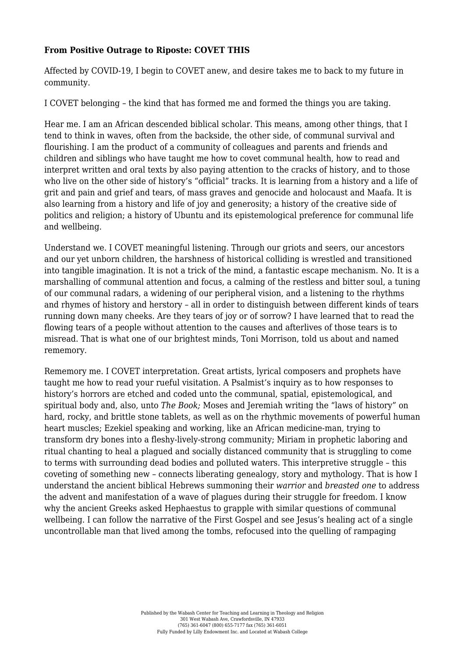#### **From Positive Outrage to Riposte: COVET THIS**

Affected by COVID-19, I begin to COVET anew, and desire takes me to back to my future in community.

I COVET belonging – the kind that has formed me and formed the things you are taking.

Hear me. I am an African descended biblical scholar. This means, among other things, that I tend to think in waves, often from the backside, the other side, of communal survival and flourishing. I am the product of a community of colleagues and parents and friends and children and siblings who have taught me how to covet communal health, how to read and interpret written and oral texts by also paying attention to the cracks of history, and to those who live on the other side of history's "official" tracks. It is learning from a history and a life of grit and pain and grief and tears, of mass graves and genocide and holocaust and Maafa. It is also learning from a history and life of joy and generosity; a history of the creative side of politics and religion; a history of Ubuntu and its epistemological preference for communal life and wellbeing.

Understand we. I COVET meaningful listening. Through our griots and seers, our ancestors and our yet unborn children, the harshness of historical colliding is wrestled and transitioned into tangible imagination. It is not a trick of the mind, a fantastic escape mechanism. No. It is a marshalling of communal attention and focus, a calming of the restless and bitter soul, a tuning of our communal radars, a widening of our peripheral vision, and a listening to the rhythms and rhymes of history and herstory – all in order to distinguish between different kinds of tears running down many cheeks. Are they tears of joy or of sorrow? I have learned that to read the flowing tears of a people without attention to the causes and afterlives of those tears is to misread. That is what one of our brightest minds, Toni Morrison, told us about and named rememory.

Rememory me. I COVET interpretation. Great artists, lyrical composers and prophets have taught me how to read your rueful visitation. A Psalmist's inquiry as to how responses to history's horrors are etched and coded unto the communal, spatial, epistemological, and spiritual body and, also, unto *The Book;* Moses and Jeremiah writing the "laws of history" on hard, rocky, and brittle stone tablets, as well as on the rhythmic movements of powerful human heart muscles; Ezekiel speaking and working, like an African medicine-man, trying to transform dry bones into a fleshy-lively-strong community; Miriam in prophetic laboring and ritual chanting to heal a plagued and socially distanced community that is struggling to come to terms with surrounding dead bodies and polluted waters. This interpretive struggle – this coveting of something new – connects liberating genealogy, story and mythology. That is how I understand the ancient biblical Hebrews summoning their *warrior* and *breasted one* to address the advent and manifestation of a wave of plagues during their struggle for freedom. I know why the ancient Greeks asked Hephaestus to grapple with similar questions of communal wellbeing. I can follow the narrative of the First Gospel and see Jesus's healing act of a single uncontrollable man that lived among the tombs, refocused into the quelling of rampaging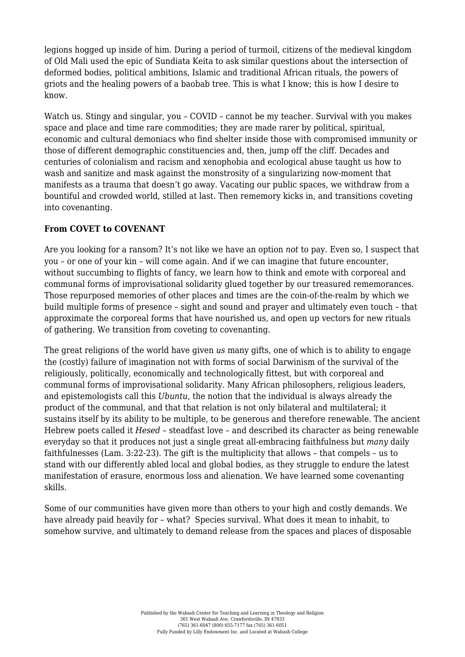legions hogged up inside of him. During a period of turmoil, citizens of the medieval kingdom of Old Mali used the epic of Sundiata Keita to ask similar questions about the intersection of deformed bodies, political ambitions, Islamic and traditional African rituals, the powers of griots and the healing powers of a baobab tree. This is what I know; this is how I desire to know.

Watch us. Stingy and singular, you - COVID - cannot be my teacher. Survival with you makes space and place and time rare commodities; they are made rarer by political, spiritual, economic and cultural demoniacs who find shelter inside those with compromised immunity or those of different demographic constituencies and, then, jump off the cliff. Decades and centuries of colonialism and racism and xenophobia and ecological abuse taught us how to wash and sanitize and mask against the monstrosity of a singularizing now-moment that manifests as a trauma that doesn't go away. Vacating our public spaces, we withdraw from a bountiful and crowded world, stilled at last. Then rememory kicks in, and transitions coveting into covenanting.

#### **From COVET to COVENANT**

Are you looking for a ransom? It's not like we have an option *not* to pay. Even so, I suspect that you – or one of your kin – will come again. And if we can imagine that future encounter, without succumbing to flights of fancy, we learn how to think and emote with corporeal and communal forms of improvisational solidarity glued together by our treasured rememorances. Those repurposed memories of other places and times are the coin-of-the-realm by which we build multiple forms of presence – sight and sound and prayer and ultimately even touch – that approximate the corporeal forms that have nourished us, and open up vectors for new rituals of gathering. We transition from coveting to covenanting.

The great religions of the world have given *us* many gifts, one of which is to ability to engage the (costly) failure of imagination not with forms of social Darwinism of the survival of the religiously, politically, economically and technologically fittest, but with corporeal and communal forms of improvisational solidarity. Many African philosophers, religious leaders, and epistemologists call this *Ubuntu*, the notion that the individual is always already the product of the communal, and that that relation is not only bilateral and multilateral; it sustains itself by its ability to be multiple, to be generous and therefore renewable. The ancient Hebrew poets called it *Hesed* – steadfast love – and described its character as being renewable everyday so that it produces not just a single great all-embracing faithfulness but *many* daily faithfulnesses (Lam. 3:22-23). The gift is the multiplicity that allows – that compels – us to stand with our differently abled local and global bodies, as they struggle to endure the latest manifestation of erasure, enormous loss and alienation. We have learned some covenanting skills.

Some of our communities have given more than others to your high and costly demands. We have already paid heavily for – what? Species survival. What does it mean to inhabit, to somehow survive, and ultimately to demand release from the spaces and places of disposable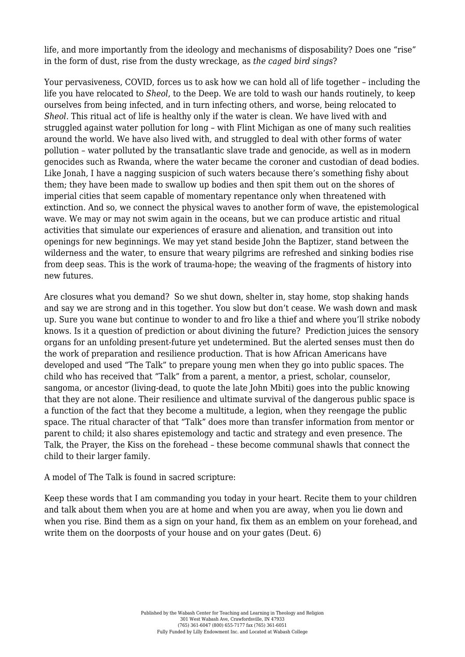life, and more importantly from the ideology and mechanisms of disposability? Does one "rise" in the form of dust, rise from the dusty wreckage, as *the caged bird sings*?

Your pervasiveness, COVID, forces us to ask how we can hold all of life together – including the life you have relocated to *Sheol*, to the Deep. We are told to wash our hands routinely, to keep ourselves from being infected, and in turn infecting others, and worse, being relocated to *Sheol*. This ritual act of life is healthy only if the water is clean. We have lived with and struggled against water pollution for long – with Flint Michigan as one of many such realities around the world. We have also lived with, and struggled to deal with other forms of water pollution – water polluted by the transatlantic slave trade and genocide, as well as in modern genocides such as Rwanda, where the water became the coroner and custodian of dead bodies. Like Jonah, I have a nagging suspicion of such waters because there's something fishy about them; they have been made to swallow up bodies and then spit them out on the shores of imperial cities that seem capable of momentary repentance only when threatened with extinction. And so, we connect the physical waves to another form of wave, the epistemological wave. We may or may not swim again in the oceans, but we can produce artistic and ritual activities that simulate our experiences of erasure and alienation, and transition out into openings for new beginnings. We may yet stand beside John the Baptizer, stand between the wilderness and the water, to ensure that weary pilgrims are refreshed and sinking bodies rise from deep seas. This is the work of trauma-hope; the weaving of the fragments of history into new futures.

Are closures what you demand? So we shut down, shelter in, stay home, stop shaking hands and say we are strong and in this together. You slow but don't cease. We wash down and mask up. Sure you wane but continue to wonder to and fro like a thief and where you'll strike nobody knows. Is it a question of prediction or about divining the future? Prediction juices the sensory organs for an unfolding present-future yet undetermined. But the alerted senses must then do the work of preparation and resilience production. That is how African Americans have developed and used "The Talk" to prepare young men when they go into public spaces. The child who has received that "Talk" from a parent, a mentor, a priest, scholar, counselor, sangoma, or ancestor (living-dead, to quote the late John Mbiti) goes into the public knowing that they are not alone. Their resilience and ultimate survival of the dangerous public space is a function of the fact that they become a multitude, a legion, when they reengage the public space. The ritual character of that "Talk" does more than transfer information from mentor or parent to child; it also shares epistemology and tactic and strategy and even presence. The Talk, the Prayer, the Kiss on the forehead – these become communal shawls that connect the child to their larger family.

#### A model of The Talk is found in sacred scripture:

Keep these words that I am commanding you today in your heart. Recite them to your children and talk about them when you are at home and when you are away, when you lie down and when you rise. Bind them as a sign on your hand, fix them as an emblem on your forehead, and write them on the doorposts of your house and on your gates (Deut. 6)